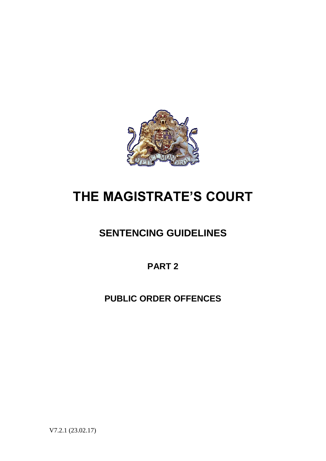

# **THE MAGISTRATE'S COURT**

# **SENTENCING GUIDELINES**

**PART 2**

**PUBLIC ORDER OFFENCES**

V7.2.1 (23.02.17)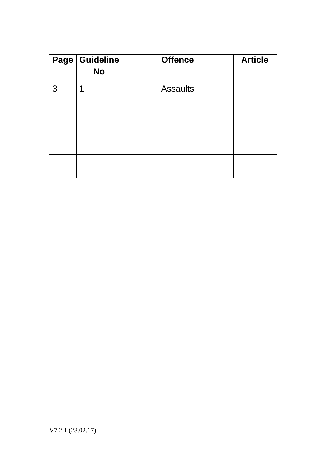|   | Page Guideline<br><b>No</b> | <b>Offence</b>  | <b>Article</b> |
|---|-----------------------------|-----------------|----------------|
| 3 | 1                           | <b>Assaults</b> |                |
|   |                             |                 |                |
|   |                             |                 |                |
|   |                             |                 |                |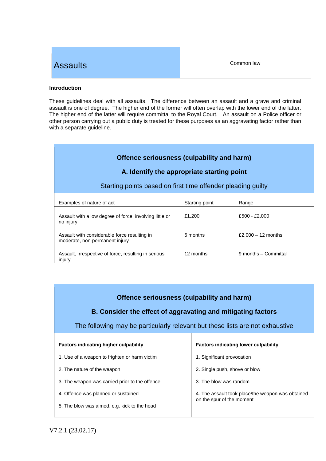## **Assaults**

#### **Introduction**

These guidelines deal with all assaults. The difference between an assault and a grave and criminal assault is one of degree. The higher end of the former will often overlap with the lower end of the latter. The higher end of the latter will require committal to the Royal Court. An assault on a Police officer or other person carrying out a public duty is treated for these purposes as an aggravating factor rather than with a separate guideline.

| Offence seriousness (culpability and harm) |
|--------------------------------------------|
|                                            |

#### **A. Identify the appropriate starting point**

#### Starting points based on first time offender pleading guilty

| Examples of nature of act                                                      | Starting point | Range                |
|--------------------------------------------------------------------------------|----------------|----------------------|
| Assault with a low degree of force, involving little or<br>no injury           | £1.200         | £500 - £2,000        |
| Assault with considerable force resulting in<br>moderate, non-permanent injury | 6 months       | £2,000 $-$ 12 months |
| Assault, irrespective of force, resulting in serious<br>injury                 | 12 months      | 9 months - Committal |

#### **Offence seriousness (culpability and harm)**

#### **B. Consider the effect of aggravating and mitigating factors**

The following may be particularly relevant but these lists are not exhaustive

| <b>Factors indicating higher culpability</b>   | <b>Factors indicating lower culpability</b>                                    |  |
|------------------------------------------------|--------------------------------------------------------------------------------|--|
| 1. Use of a weapon to frighten or harm victim  | 1. Significant provocation                                                     |  |
| 2. The nature of the weapon                    | 2. Single push, shove or blow                                                  |  |
| 3. The weapon was carried prior to the offence | 3. The blow was random                                                         |  |
| 4. Offence was planned or sustained            | 4. The assault took place/the weapon was obtained<br>on the spur of the moment |  |
| 5. The blow was aimed, e.g. kick to the head   |                                                                                |  |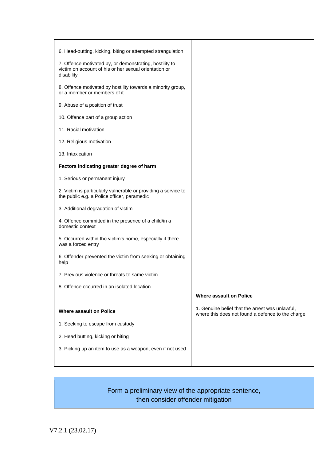| 6. Head-butting, kicking, biting or attempted strangulation                                                                    |                                                                                                      |
|--------------------------------------------------------------------------------------------------------------------------------|------------------------------------------------------------------------------------------------------|
| 7. Offence motivated by, or demonstrating, hostility to<br>victim on account of his or her sexual orientation or<br>disability |                                                                                                      |
| 8. Offence motivated by hostility towards a minority group,<br>or a member or members of it                                    |                                                                                                      |
| 9. Abuse of a position of trust                                                                                                |                                                                                                      |
| 10. Offence part of a group action                                                                                             |                                                                                                      |
| 11. Racial motivation                                                                                                          |                                                                                                      |
| 12. Religious motivation                                                                                                       |                                                                                                      |
| 13. Intoxication                                                                                                               |                                                                                                      |
| Factors indicating greater degree of harm                                                                                      |                                                                                                      |
| 1. Serious or permanent injury                                                                                                 |                                                                                                      |
| 2. Victim is particularly vulnerable or providing a service to<br>the public e.g. a Police officer, paramedic                  |                                                                                                      |
| 3. Additional degradation of victim                                                                                            |                                                                                                      |
| 4. Offence committed in the presence of a child/in a<br>domestic context                                                       |                                                                                                      |
| 5. Occurred within the victim's home, especially if there<br>was a forced entry                                                |                                                                                                      |
| 6. Offender prevented the victim from seeking or obtaining<br>help                                                             |                                                                                                      |
| 7. Previous violence or threats to same victim                                                                                 |                                                                                                      |
| 8. Offence occurred in an isolated location                                                                                    |                                                                                                      |
|                                                                                                                                | <b>Where assault on Police</b>                                                                       |
| <b>Where assault on Police</b>                                                                                                 | 1. Genuine belief that the arrest was unlawful,<br>where this does not found a defence to the charge |
| 1. Seeking to escape from custody                                                                                              |                                                                                                      |
| 2. Head butting, kicking or biting                                                                                             |                                                                                                      |
| 3. Picking up an item to use as a weapon, even if not used                                                                     |                                                                                                      |
|                                                                                                                                |                                                                                                      |

## Form a preliminary view of the appropriate sentence, then consider offender mitigation

V7.2.1 (23.02.17)